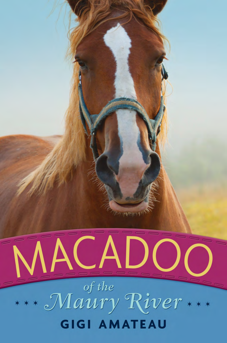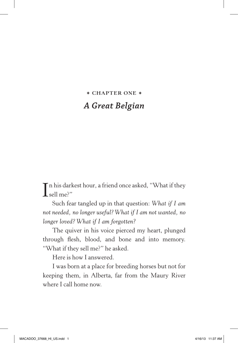## **\* CHAPTER ONE \*** *A Great Belgian*

In his darkest hour, a friend once asked, "What if they sell me?" sell me?"

Such fear tangled up in that question: *What if I am not needed, no longer useful? What if I am not wanted, no longer loved? What if I am forgotten?*

The quiver in his voice pierced my heart, plunged through flesh, blood, and bone and into memory. "What if they sell me?" he asked.

Here is how I answered.

I was born at a place for breeding horses but not for keeping them, in Alberta, far from the Maury River where I call home now.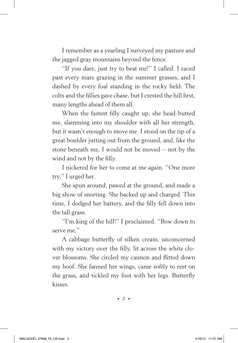I remember as a yearling I surveyed my pasture and the jagged gray mountains beyond the fence.

"If you dare, just try to beat me!" I called. I raced past every mare grazing in the summer grasses, and I dashed by every foal standing in the rocky field. The colts and the fillies gave chase, but I crested the hill first, many lengths ahead of them all.

When the fastest filly caught up, she head-butted me, slamming into my shoulder with all her strength, but it wasn't enough to move me. I stood on the tip of a great boulder jutting out from the ground, and, like the stone beneath me, I would not be moved— not by the wind and not by the filly.

I nickered for her to come at me again. "One more try," I urged her.

She spun around, pawed at the ground, and made a big show of snorting. She backed up and charged. This time, I dodged her battery, and the filly fell down into the tall grass.

"I'm king of the hill!" I proclaimed. "Bow down to serve me."

A cabbage butterfly of silken cream, unconcerned with my victory over the filly, lit across the white clover blossoms. She circled my cannon and flitted down my hoof. She fanned her wings, came softly to rest on the grass, and tickled my foot with her legs. Butterfly kisses.

✶ **2** ✶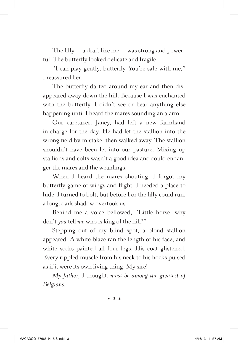The filly— a draft like me— was strong and powerful. The butterfly looked delicate and fragile.

"I can play gently, butterfly. You're safe with me," I reassured her.

The butterfly darted around my ear and then disappeared away down the hill. Because I was enchanted with the butterfly, I didn't see or hear anything else happening until I heard the mares sounding an alarm.

Our caretaker, Janey, had left a new farmhand in charge for the day. He had let the stallion into the wrong field by mistake, then walked away. The stallion shouldn't have been let into our pasture. Mixing up stallions and colts wasn't a good idea and could endanger the mares and the weanlings.

When I heard the mares shouting, I forgot my butterfly game of wings and flight. I needed a place to hide. I turned to bolt, but before I or the filly could run, a long, dark shadow overtook us.

Behind me a voice bellowed, "Little horse, why don't *you* tell *me* who is king of the hill?"

Stepping out of my blind spot, a blond stallion appeared. A white blaze ran the length of his face, and white socks painted all four legs. His coat glistened. Every rippled muscle from his neck to his hocks pulsed as if it were its own living thing. My sire!

*My father,* I thought, *must be among the greatest of Belgians.*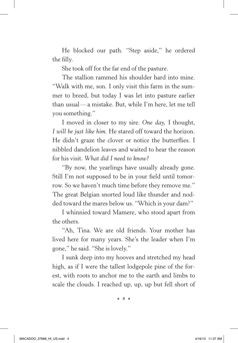He blocked our path. "Step aside," he ordered the filly.

She took off for the far end of the pasture.

The stallion rammed his shoulder hard into mine. "Walk with me, son. I only visit this farm in the summer to breed, but today I was let into pasture earlier than usual— a mistake. But, while I'm here, let me tell you something."

I moved in closer to my sire. *One day,* I thought, *I will be just like him.* He stared off toward the horizon. He didn't graze the clover or notice the butterflies. I nibbled dandelion leaves and waited to hear the reason for his visit. *What did I need to know?*

"By now, the yearlings have usually already gone. Still I'm not supposed to be in your field until tomorrow. So we haven't much time before they remove me." The great Belgian snorted loud like thunder and nodded toward the mares below us. "Which is your dam?"

I whinnied toward Mamere, who stood apart from the others.

"Ah, Tina. We are old friends. Your mother has lived here for many years. She's the leader when I'm gone," he said. "She is lovely."

I sunk deep into my hooves and stretched my head high, as if I were the tallest lodgepole pine of the forest, with roots to anchor me to the earth and limbs to scale the clouds. I reached up, up, up but fell short of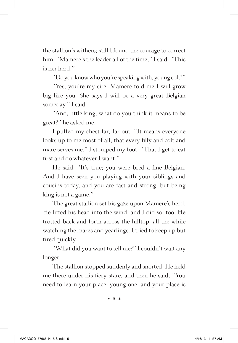the stallion's withers; still I found the courage to correct him. "Mamere's the leader all of the time," I said. "This is her herd."

"Do you know who you're speaking with, young colt?"

"Yes, you're my sire. Mamere told me I will grow big like you. She says I will be a very great Belgian someday," I said.

"And, little king, what do you think it means to be great?" he asked me.

I puffed my chest far, far out. "It means everyone looks up to me most of all, that every filly and colt and mare serves me." I stomped my foot. "That I get to eat first and do whatever I want."

He said, "It's true; you were bred a fine Belgian. And I have seen you playing with your siblings and cousins today, and you are fast and strong, but being king is not a game."

The great stallion set his gaze upon Mamere's herd. He lifted his head into the wind, and I did so, too. He trotted back and forth across the hilltop, all the while watching the mares and yearlings. I tried to keep up but tired quickly.

"What did you want to tell me?" I couldn't wait any longer.

The stallion stopped suddenly and snorted. He held me there under his fiery stare, and then he said, "You need to learn your place, young one, and your place is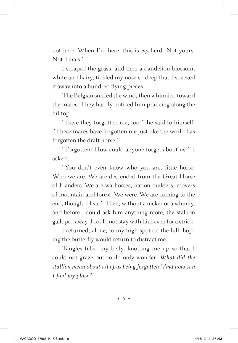not here. When I'm here, this is *my* herd. Not yours. Not Tina's."

I scraped the grass, and then a dandelion blossom, white and hairy, tickled my nose so deep that I sneezed it away into a hundred flying pieces.

The Belgian sniffed the wind, then whinnied toward the mares. They hardly noticed him prancing along the hilltop.

"Have they forgotten me, too?" he said to himself. "These mares have forgotten me just like the world has forgotten the draft horse."

"Forgotten? How could anyone forget about us?" I asked.

"You don't even know who you are, little horse. Who we are. We are descended from the Great Horse of Flanders. We are warhorses, nation builders, movers of mountain and forest. We were. We are coming to the end, though, I fear." Then, without a nicker or a whinny, and before I could ask him anything more, the stallion galloped away. I could not stay with him even for a stride.

I returned, alone, to my high spot on the hill, hoping the butterfly would return to distract me.

Tangles filled my belly, knotting me up so that I could not graze but could only wonder: *What did the stallion mean about all of us being forgotten? And how can I find my place?*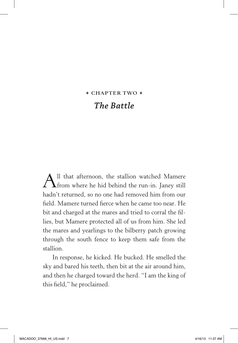## **\* CHAPTER TWO \*** *The Battle*

All that afternoon, the stallion watched Mamere<br>
from where he hid behind the run-in. Janey still hadn't returned, so no one had removed him from our field. Mamere turned fierce when he came too near. He bit and charged at the mares and tried to corral the fillies, but Mamere protected all of us from him. She led the mares and yearlings to the bilberry patch growing through the south fence to keep them safe from the stallion.

In response, he kicked. He bucked. He smelled the sky and bared his teeth, then bit at the air around him, and then he charged toward the herd. "I am the king of this field," he proclaimed.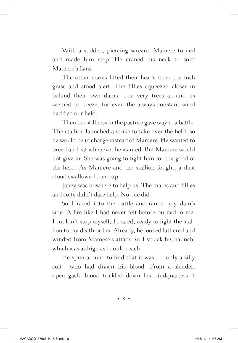With a sudden, piercing scream, Mamere turned and made him stop. He craned his neck to sniff Mamere's flank.

The other mares lifted their heads from the lush grass and stood alert. The fillies squeezed closer in behind their own dams. The very trees around us seemed to freeze, for even the always-constant wind had fled our field.

Then the stillness in the pasture gave way to a battle. The stallion launched a strike to take over the field, so he would be in charge instead of Mamere. He wanted to breed and eat whenever he wanted. But Mamere would not give in. She was going to fight him for the good of the herd. As Mamere and the stallion fought, a dust cloud swallowed them up.

Janey was nowhere to help us. The mares and fillies and colts didn't dare help. No one did.

So I raced into the battle and ran to my dam's side. A fire like I had never felt before burned in me. I couldn't stop myself; I reared, ready to fight the stallion to my death or his. Already, he looked lathered and winded from Mamere's attack, so I struck his haunch, which was as high as I could reach.

He spun around to find that it was  $I$ —only a silly colt— who had drawn his blood. From a slender, open gash, blood trickled down his hindquarters. I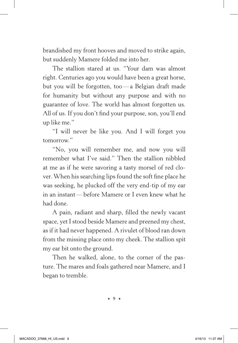brandished my front hooves and moved to strike again, but suddenly Mamere folded me into her.

The stallion stared at us. "Your dam was almost right. Centuries ago you would have been a great horse, but you will be forgotten, too— a Belgian draft made for humanity but without any purpose and with no guarantee of love. The world has almost forgotten us. All of us. If you don't find your purpose, son, you'll end up like me."

"I will never be like you. And I will forget you tomorrow."

"No, you will remember me, and now you will remember what I've said." Then the stallion nibbled at me as if he were savoring a tasty morsel of red clover. When his searching lips found the soft fine place he was seeking, he plucked off the very end-tip of my ear in an instant— before Mamere or I even knew what he had done.

A pain, radiant and sharp, filled the newly vacant space, yet I stood beside Mamere and preened my chest, as if it had never happened. A rivulet of blood ran down from the missing place onto my cheek. The stallion spit my ear bit onto the ground.

Then he walked, alone, to the corner of the pasture. The mares and foals gathered near Mamere, and I began to tremble.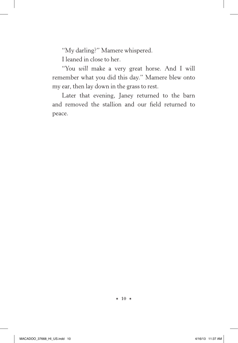"My darling?" Mamere whispered.

I leaned in close to her.

"You *will* make a very great horse. And I will remember what you did this day." Mamere blew onto my ear, then lay down in the grass to rest.

Later that evening, Janey returned to the barn and removed the stallion and our field returned to peace.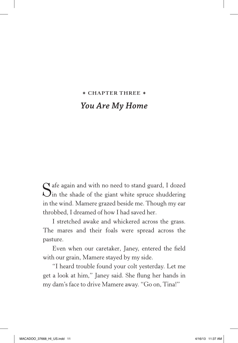## **\* CHAPTER THREE \*** *You Are My Home*

Safe again and with no need to stand guard, I dozed<br>Sin the shade of the giant white spruce shuddering in the wind. Mamere grazed beside me. Though my ear throbbed, I dreamed of how I had saved her.

I stretched awake and whickered across the grass. The mares and their foals were spread across the pasture.

Even when our caretaker, Janey, entered the field with our grain, Mamere stayed by my side.

"I heard trouble found your colt yesterday. Let me get a look at him," Janey said. She flung her hands in my dam's face to drive Mamere away. "Go on, Tina!"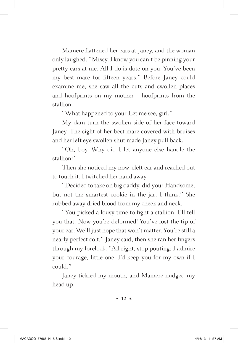Mamere flattened her ears at Janey, and the woman only laughed. "Missy, I know you can't be pinning your pretty ears at me. All I do is dote on you. You've been my best mare for fifteen years." Before Janey could examine me, she saw all the cuts and swollen places and hoofprints on my mother— hoofprints from the stallion.

"What happened to you? Let me see, girl."

My dam turn the swollen side of her face toward Janey. The sight of her best mare covered with bruises and her left eye swollen shut made Janey pull back.

"Oh, boy. Why did I let anyone else handle the stallion?"

Then she noticed my now-cleft ear and reached out to touch it. I twitched her hand away.

"Decided to take on big daddy, did you? Handsome, but not the smartest cookie in the jar, I think." She rubbed away dried blood from my cheek and neck.

"You picked a lousy time to fight a stallion, I'll tell you that. Now you're deformed! You've lost the tip of your ear. We'll just hope that won't matter. You're still a nearly perfect colt," Janey said, then she ran her fingers through my forelock. "All right, stop pouting; I admire your courage, little one. I'd keep you for my own if I could."

Janey tickled my mouth, and Mamere nudged my head up.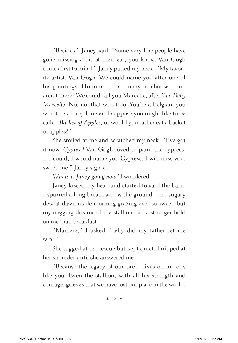"Besides," Janey said. "Some very fine people have gone missing a bit of their ear, you know. Van Gogh comes first to mind." Janey patted my neck. "My favorite artist, Van Gogh. We could name you after one of his paintings. Hmmm . . . so many to choose from, aren't there? We could call you Marcelle, after *The Baby Marcelle*. No, no, that won't do. You're a Belgian; you won't be a baby forever. I suppose you might like to be called *Basket of Apples,* or would you rather eat a basket of apples?"

She smiled at me and scratched my neck. "I've got it now. *Cypress!* Van Gogh loved to paint the cypress. If I could, I would name you Cypress. I will miss you, sweet one." Janey sighed.

*Where is Janey going now?* I wondered.

Janey kissed my head and started toward the barn. I spurred a long breath across the ground. The sugary dew at dawn made morning grazing ever so sweet, but my nagging dreams of the stallion had a stronger hold on me than breakfast.

"Mamere," I asked, "why did my father let me win?"

She tugged at the fescue but kept quiet. I nipped at her shoulder until she answered me.

"Because the legacy of our breed lives on in colts like you. Even the stallion, with all his strength and courage, grieves that we have lost our place in the world,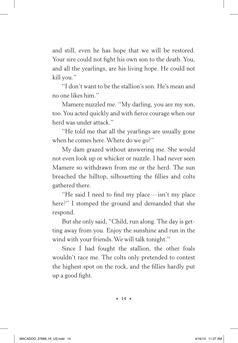and still, even he has hope that we will be restored. Your sire could not fight his own son to the death. You, and all the yearlings, are his living hope. He could not kill you."

"I don't want to be the stallion's son. He's mean and no one likes him."

Mamere nuzzled me. "My darling, you are my son, too. You acted quickly and with fierce courage when our herd was under attack."

"He told me that all the yearlings are usually gone when he comes here. Where do we go?"

My dam grazed without answering me. She would not even look up or whicker or nuzzle. I had never seen Mamere so withdrawn from me or the herd. The sun breached the hilltop, silhouetting the fillies and colts gathered there.

"He said I need to find my place— isn't my place here?" I stomped the ground and demanded that she respond.

But she only said, "Child, run along. The day is getting away from you. Enjoy the sunshine and run in the wind with your friends. We will talk tonight."

Since I had fought the stallion, the other foals wouldn't race me. The colts only pretended to contest the highest spot on the rock, and the fillies hardly put up a good fight.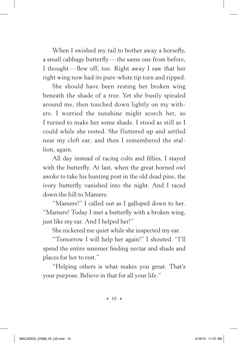When I swished my tail to bother away a horsefly, a small cabbage butterfly—the same one from before, I thought—flew off, too. Right away I saw that her right wing now had its pure-white tip torn and ripped.

She should have been resting her broken wing beneath the shade of a tree. Yet she busily spiraled around me, then touched down lightly on my withers. I worried the sunshine might scorch her, so I turned to make her some shade. I stood as still as I could while she rested. She fluttered up and settled near my cleft ear, and then I remembered the stallion, again.

All day instead of racing colts and fillies, I stayed with the butterfly. At last, when the great horned owl awoke to take his hunting post in the old dead pine, the ivory butterfly vanished into the night. And I raced down the hill to Mamere.

"Mamere!" I called out as I galloped down to her. "Mamere! Today I met a butterfly with a broken wing, just like my ear. And I helped her!"

She nickered me quiet while she inspected my ear.

"Tomorrow I will help her again!" I shouted. "I'll spend the entire summer finding nectar and shade and places for her to rest."

"Helping others is what makes you great. That's your purpose. Believe in that for all your life."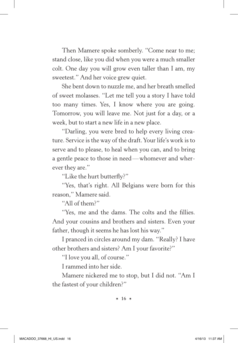Then Mamere spoke somberly. "Come near to me; stand close, like you did when you were a much smaller colt. One day you will grow even taller than I am, my sweetest." And her voice grew quiet.

She bent down to nuzzle me, and her breath smelled of sweet molasses. "Let me tell you a story I have told too many times. Yes, I know where you are going. Tomorrow, you will leave me. Not just for a day, or a week, but to start a new life in a new place.

"Darling, you were bred to help every living creature. Service is the way of the draft. Your life's work is to serve and to please, to heal when you can, and to bring a gentle peace to those in need— whomever and wherever they are."

"Like the hurt butterfly?"

"Yes, that's right. All Belgians were born for this reason," Mamere said.

"All of them?"

"Yes, me and the dams. The colts and the fillies. And your cousins and brothers and sisters. Even your father, though it seems he has lost his way."

I pranced in circles around my dam. "Really? I have other brothers and sisters? Am I your favorite?"

"I love you all, of course."

I rammed into her side.

Mamere nickered me to stop, but I did not. "Am I the fastest of your children?"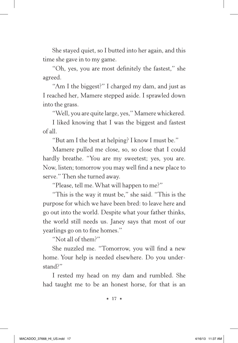She stayed quiet, so I butted into her again, and this time she gave in to my game.

"Oh, yes, you are most definitely the fastest," she agreed.

"Am I the biggest?" I charged my dam, and just as I reached her, Mamere stepped aside. I sprawled down into the grass.

"Well, you are quite large, yes," Mamere whickered.

I liked knowing that I was the biggest and fastest of all.

"But am I the best at helping? I know I must be."

Mamere pulled me close, so, so close that I could hardly breathe. "You are my sweetest; yes, you are. Now, listen; tomorrow you may well find a new place to serve." Then she turned away.

"Please, tell me. What will happen to me?"

"This is the way it must be," she said. "This is the purpose for which we have been bred: to leave here and go out into the world. Despite what your father thinks, the world still needs us. Janey says that most of our yearlings go on to fine homes."

"Not all of them?"

She nuzzled me. "Tomorrow, you will find a new home. Your help is needed elsewhere. Do you understand?"

I rested my head on my dam and rumbled. She had taught me to be an honest horse, for that is an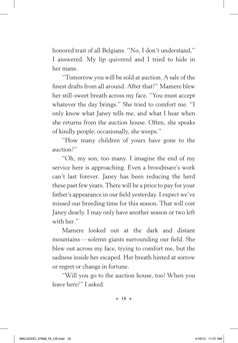honored trait of all Belgians. "No, I don't understand," I answered. My lip quivered and I tried to hide in her mane.

"Tomorrow you will be sold at auction. A sale of the finest drafts from all around. After that?" Mamere blew her still-sweet breath across my face. "You must accept whatever the day brings." She tried to comfort me. "I only know what Janey tells me, and what I hear when she returns from the auction house. Often, she speaks of kindly people; occasionally, she weeps."

"How many children of yours have gone to the auction?"

"Oh, my son, too many. I imagine the end of my service here is approaching. Even a broodmare's work can't last forever. Janey has been reducing the herd these past few years. There will be a price to pay for your father's appearance in our field yesterday. I expect we've missed our breeding time for this season. That will cost Janey dearly. I may only have another season or two left with her."

Mamere looked out at the dark and distant mountains— solemn giants surrounding our field. She blew out across my face, trying to comfort me, but the sadness inside her escaped. Her breath hinted at sorrow or regret or change in fortune.

"Will you go to the auction house, too? When you leave here?" I asked.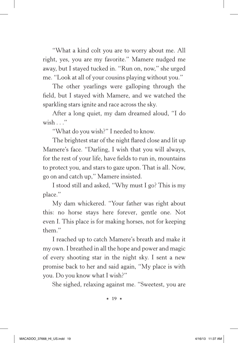"What a kind colt you are to worry about me. All right, yes, you are my favorite." Mamere nudged me away, but I stayed tucked in. "Run on, now," she urged me. "Look at all of your cousins playing without you."

The other yearlings were galloping through the field, but I stayed with Mamere, and we watched the sparkling stars ignite and race across the sky.

After a long quiet, my dam dreamed aloud, "I do wish . . ."

"What do you wish?" I needed to know.

The brightest star of the night flared close and lit up Mamere's face. "Darling, I wish that you will always, for the rest of your life, have fields to run in, mountains to protect you, and stars to gaze upon. That is all. Now, go on and catch up," Mamere insisted.

I stood still and asked, "Why must I go? This is my place."

My dam whickered. "Your father was right about this: no horse stays here forever, gentle one. Not even I. This place is for making horses, not for keeping them."

I reached up to catch Mamere's breath and make it my own. I breathed in all the hope and power and magic of every shooting star in the night sky. I sent a new promise back to her and said again, "My place is with you. Do you know what I wish?"

She sighed, relaxing against me. "Sweetest, you are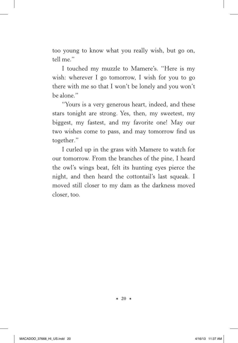too young to know what you really wish, but go on, tell me."

I touched my muzzle to Mamere's. "Here is my wish: wherever I go tomorrow, I wish for you to go there with me so that I won't be lonely and you won't be alone."

"Yours is a very generous heart, indeed, and these stars tonight are strong. Yes, then, my sweetest, my biggest, my fastest, and my favorite one! May our two wishes come to pass, and may tomorrow find us together."

I curled up in the grass with Mamere to watch for our tomorrow. From the branches of the pine, I heard the owl's wings beat, felt its hunting eyes pierce the night, and then heard the cottontail's last squeak. I moved still closer to my dam as the darkness moved closer, too.